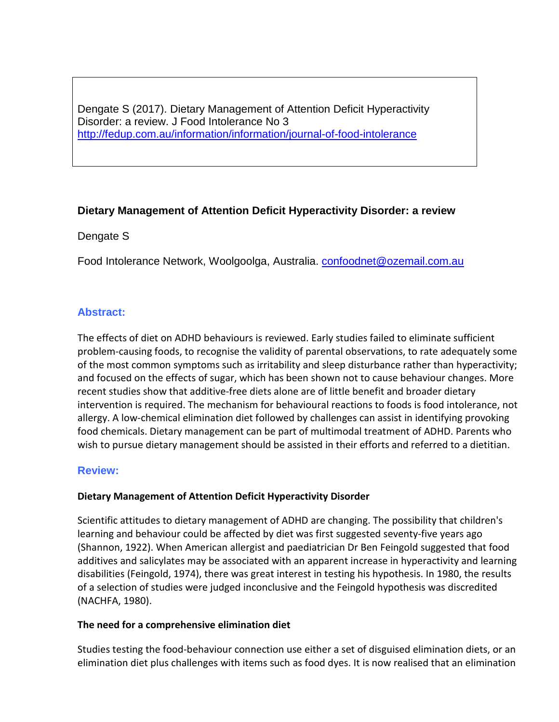Dengate S (2017). Dietary Management of Attention Deficit Hyperactivity Disorder: a review. J Food Intolerance No 3 <http://fedup.com.au/information/information/journal-of-food-intolerance>

# **Dietary Management of Attention Deficit Hyperactivity Disorder: a review**

# Dengate S

Food Intolerance Network, Woolgoolga, Australia. [confoodnet@ozemail.com.au](mailto:confoodnet@ozemail.com.au)

# **Abstract:**

The effects of diet on ADHD behaviours is reviewed. Early studies failed to eliminate sufficient problem-causing foods, to recognise the validity of parental observations, to rate adequately some of the most common symptoms such as irritability and sleep disturbance rather than hyperactivity; and focused on the effects of sugar, which has been shown not to cause behaviour changes. More recent studies show that additive-free diets alone are of little benefit and broader dietary intervention is required. The mechanism for behavioural reactions to foods is food intolerance, not allergy. A low-chemical elimination diet followed by challenges can assist in identifying provoking food chemicals. Dietary management can be part of multimodal treatment of ADHD. Parents who wish to pursue dietary management should be assisted in their efforts and referred to a dietitian.

# **Review:**

# **Dietary Management of Attention Deficit Hyperactivity Disorder**

Scientific attitudes to dietary management of ADHD are changing. The possibility that children's learning and behaviour could be affected by diet was first suggested seventy-five years ago (Shannon, 1922). When American allergist and paediatrician Dr Ben Feingold suggested that food additives and salicylates may be associated with an apparent increase in hyperactivity and learning disabilities (Feingold, 1974), there was great interest in testing his hypothesis. In 1980, the results of a selection of studies were judged inconclusive and the Feingold hypothesis was discredited (NACHFA, 1980).

# **The need for a comprehensive elimination diet**

Studies testing the food-behaviour connection use either a set of disguised elimination diets, or an elimination diet plus challenges with items such as food dyes. It is now realised that an elimination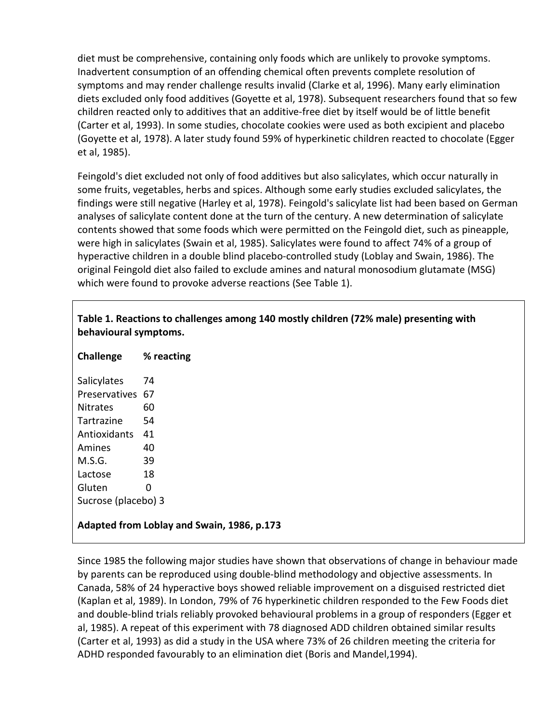diet must be comprehensive, containing only foods which are unlikely to provoke symptoms. Inadvertent consumption of an offending chemical often prevents complete resolution of symptoms and may render challenge results invalid (Clarke et al, 1996). Many early elimination diets excluded only food additives (Goyette et al, 1978). Subsequent researchers found that so few children reacted only to additives that an additive-free diet by itself would be of little benefit (Carter et al, 1993). In some studies, chocolate cookies were used as both excipient and placebo (Goyette et al, 1978). A later study found 59% of hyperkinetic children reacted to chocolate (Egger et al, 1985).

Feingold's diet excluded not only of food additives but also salicylates, which occur naturally in some fruits, vegetables, herbs and spices. Although some early studies excluded salicylates, the findings were still negative (Harley et al, 1978). Feingold's salicylate list had been based on German analyses of salicylate content done at the turn of the century. A new determination of salicylate contents showed that some foods which were permitted on the Feingold diet, such as pineapple, were high in salicylates (Swain et al, 1985). Salicylates were found to affect 74% of a group of hyperactive children in a double blind placebo-controlled study (Loblay and Swain, 1986). The original Feingold diet also failed to exclude amines and natural monosodium glutamate (MSG) which were found to provoke adverse reactions (See Table 1).

#### **Table 1. Reactions to challenges among 140 mostly children (72% male) presenting with behavioural symptoms.**

| <b>Challenge</b>    | % reacting |
|---------------------|------------|
| Salicylates         | 74         |
| Preservatives       | 67         |
| Nitrates            | 60         |
| Tartrazine          | 54         |
| Antioxidants        | 41         |
| Amines              | 40         |
| M.S.G.              | 39         |
| Lactose             | 18         |
| Gluten              | O          |
| Sucrose (placebo) 3 |            |

**Adapted from Loblay and Swain, 1986, p.173**

Since 1985 the following major studies have shown that observations of change in behaviour made by parents can be reproduced using double-blind methodology and objective assessments. In Canada, 58% of 24 hyperactive boys showed reliable improvement on a disguised restricted diet (Kaplan et al, 1989). In London, 79% of 76 hyperkinetic children responded to the Few Foods diet and double-blind trials reliably provoked behavioural problems in a group of responders (Egger et al, 1985). A repeat of this experiment with 78 diagnosed ADD children obtained similar results (Carter et al, 1993) as did a study in the USA where 73% of 26 children meeting the criteria for ADHD responded favourably to an elimination diet (Boris and Mandel,1994).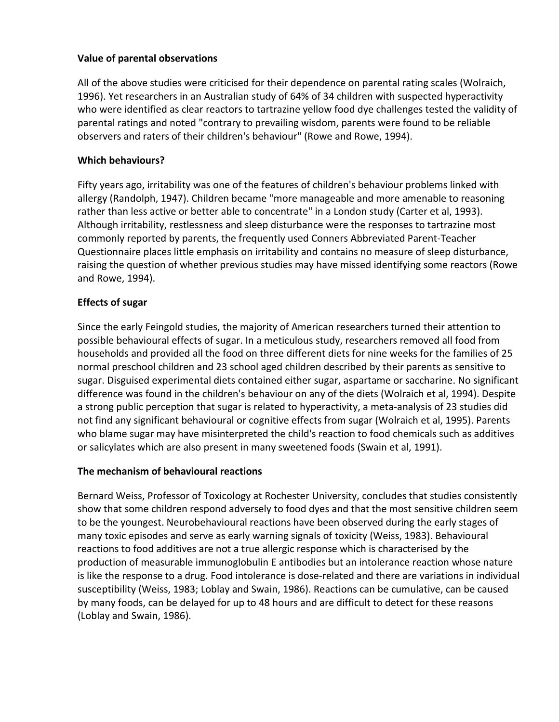#### **Value of parental observations**

All of the above studies were criticised for their dependence on parental rating scales (Wolraich, 1996). Yet researchers in an Australian study of 64% of 34 children with suspected hyperactivity who were identified as clear reactors to tartrazine yellow food dye challenges tested the validity of parental ratings and noted "contrary to prevailing wisdom, parents were found to be reliable observers and raters of their children's behaviour" (Rowe and Rowe, 1994).

# **Which behaviours?**

Fifty years ago, irritability was one of the features of children's behaviour problems linked with allergy (Randolph, 1947). Children became "more manageable and more amenable to reasoning rather than less active or better able to concentrate" in a London study (Carter et al, 1993). Although irritability, restlessness and sleep disturbance were the responses to tartrazine most commonly reported by parents, the frequently used Conners Abbreviated Parent-Teacher Questionnaire places little emphasis on irritability and contains no measure of sleep disturbance, raising the question of whether previous studies may have missed identifying some reactors (Rowe and Rowe, 1994).

# **Effects of sugar**

Since the early Feingold studies, the majority of American researchers turned their attention to possible behavioural effects of sugar. In a meticulous study, researchers removed all food from households and provided all the food on three different diets for nine weeks for the families of 25 normal preschool children and 23 school aged children described by their parents as sensitive to sugar. Disguised experimental diets contained either sugar, aspartame or saccharine. No significant difference was found in the children's behaviour on any of the diets (Wolraich et al, 1994). Despite a strong public perception that sugar is related to hyperactivity, a meta-analysis of 23 studies did not find any significant behavioural or cognitive effects from sugar (Wolraich et al, 1995). Parents who blame sugar may have misinterpreted the child's reaction to food chemicals such as additives or salicylates which are also present in many sweetened foods (Swain et al, 1991).

#### **The mechanism of behavioural reactions**

Bernard Weiss, Professor of Toxicology at Rochester University, concludes that studies consistently show that some children respond adversely to food dyes and that the most sensitive children seem to be the youngest. Neurobehavioural reactions have been observed during the early stages of many toxic episodes and serve as early warning signals of toxicity (Weiss, 1983). Behavioural reactions to food additives are not a true allergic response which is characterised by the production of measurable immunoglobulin E antibodies but an intolerance reaction whose nature is like the response to a drug. Food intolerance is dose-related and there are variations in individual susceptibility (Weiss, 1983; Loblay and Swain, 1986). Reactions can be cumulative, can be caused by many foods, can be delayed for up to 48 hours and are difficult to detect for these reasons (Loblay and Swain, 1986).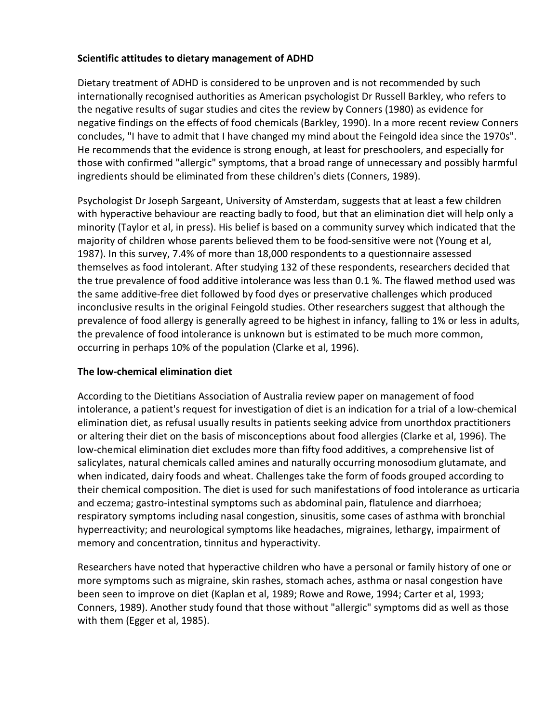#### **Scientific attitudes to dietary management of ADHD**

Dietary treatment of ADHD is considered to be unproven and is not recommended by such internationally recognised authorities as American psychologist Dr Russell Barkley, who refers to the negative results of sugar studies and cites the review by Conners (1980) as evidence for negative findings on the effects of food chemicals (Barkley, 1990). In a more recent review Conners concludes, "I have to admit that I have changed my mind about the Feingold idea since the 1970s". He recommends that the evidence is strong enough, at least for preschoolers, and especially for those with confirmed "allergic" symptoms, that a broad range of unnecessary and possibly harmful ingredients should be eliminated from these children's diets (Conners, 1989).

Psychologist Dr Joseph Sargeant, University of Amsterdam, suggests that at least a few children with hyperactive behaviour are reacting badly to food, but that an elimination diet will help only a minority (Taylor et al, in press). His belief is based on a community survey which indicated that the majority of children whose parents believed them to be food-sensitive were not (Young et al, 1987). In this survey, 7.4% of more than 18,000 respondents to a questionnaire assessed themselves as food intolerant. After studying 132 of these respondents, researchers decided that the true prevalence of food additive intolerance was less than 0.1 %. The flawed method used was the same additive-free diet followed by food dyes or preservative challenges which produced inconclusive results in the original Feingold studies. Other researchers suggest that although the prevalence of food allergy is generally agreed to be highest in infancy, falling to 1% or less in adults, the prevalence of food intolerance is unknown but is estimated to be much more common, occurring in perhaps 10% of the population (Clarke et al, 1996).

# **The low-chemical elimination diet**

According to the Dietitians Association of Australia review paper on management of food intolerance, a patient's request for investigation of diet is an indication for a trial of a low-chemical elimination diet, as refusal usually results in patients seeking advice from unorthdox practitioners or altering their diet on the basis of misconceptions about food allergies (Clarke et al, 1996). The low-chemical elimination diet excludes more than fifty food additives, a comprehensive list of salicylates, natural chemicals called amines and naturally occurring monosodium glutamate, and when indicated, dairy foods and wheat. Challenges take the form of foods grouped according to their chemical composition. The diet is used for such manifestations of food intolerance as urticaria and eczema; gastro-intestinal symptoms such as abdominal pain, flatulence and diarrhoea; respiratory symptoms including nasal congestion, sinusitis, some cases of asthma with bronchial hyperreactivity; and neurological symptoms like headaches, migraines, lethargy, impairment of memory and concentration, tinnitus and hyperactivity.

Researchers have noted that hyperactive children who have a personal or family history of one or more symptoms such as migraine, skin rashes, stomach aches, asthma or nasal congestion have been seen to improve on diet (Kaplan et al, 1989; Rowe and Rowe, 1994; Carter et al, 1993; Conners, 1989). Another study found that those without "allergic" symptoms did as well as those with them (Egger et al, 1985).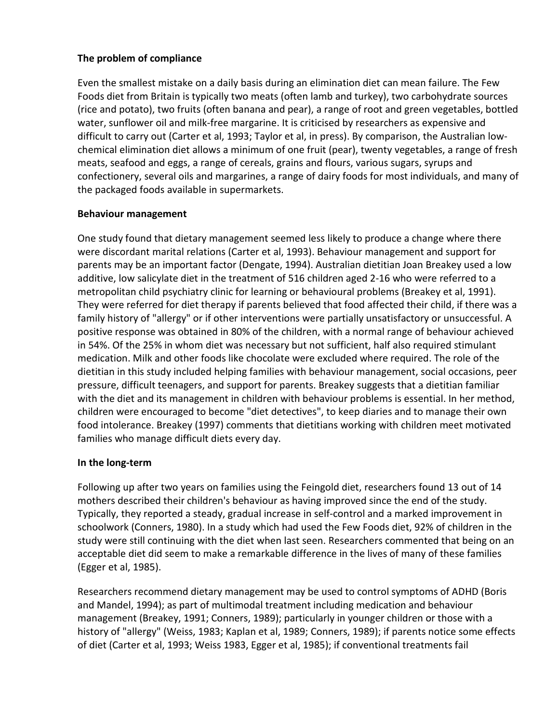# **The problem of compliance**

Even the smallest mistake on a daily basis during an elimination diet can mean failure. The Few Foods diet from Britain is typically two meats (often lamb and turkey), two carbohydrate sources (rice and potato), two fruits (often banana and pear), a range of root and green vegetables, bottled water, sunflower oil and milk-free margarine. It is criticised by researchers as expensive and difficult to carry out (Carter et al, 1993; Taylor et al, in press). By comparison, the Australian lowchemical elimination diet allows a minimum of one fruit (pear), twenty vegetables, a range of fresh meats, seafood and eggs, a range of cereals, grains and flours, various sugars, syrups and confectionery, several oils and margarines, a range of dairy foods for most individuals, and many of the packaged foods available in supermarkets.

#### **Behaviour management**

One study found that dietary management seemed less likely to produce a change where there were discordant marital relations (Carter et al, 1993). Behaviour management and support for parents may be an important factor (Dengate, 1994). Australian dietitian Joan Breakey used a low additive, low salicylate diet in the treatment of 516 children aged 2-16 who were referred to a metropolitan child psychiatry clinic for learning or behavioural problems (Breakey et al, 1991). They were referred for diet therapy if parents believed that food affected their child, if there was a family history of "allergy" or if other interventions were partially unsatisfactory or unsuccessful. A positive response was obtained in 80% of the children, with a normal range of behaviour achieved in 54%. Of the 25% in whom diet was necessary but not sufficient, half also required stimulant medication. Milk and other foods like chocolate were excluded where required. The role of the dietitian in this study included helping families with behaviour management, social occasions, peer pressure, difficult teenagers, and support for parents. Breakey suggests that a dietitian familiar with the diet and its management in children with behaviour problems is essential. In her method, children were encouraged to become "diet detectives", to keep diaries and to manage their own food intolerance. Breakey (1997) comments that dietitians working with children meet motivated families who manage difficult diets every day.

# **In the long-term**

Following up after two years on families using the Feingold diet, researchers found 13 out of 14 mothers described their children's behaviour as having improved since the end of the study. Typically, they reported a steady, gradual increase in self-control and a marked improvement in schoolwork (Conners, 1980). In a study which had used the Few Foods diet, 92% of children in the study were still continuing with the diet when last seen. Researchers commented that being on an acceptable diet did seem to make a remarkable difference in the lives of many of these families (Egger et al, 1985).

Researchers recommend dietary management may be used to control symptoms of ADHD (Boris and Mandel, 1994); as part of multimodal treatment including medication and behaviour management (Breakey, 1991; Conners, 1989); particularly in younger children or those with a history of "allergy" (Weiss, 1983; Kaplan et al, 1989; Conners, 1989); if parents notice some effects of diet (Carter et al, 1993; Weiss 1983, Egger et al, 1985); if conventional treatments fail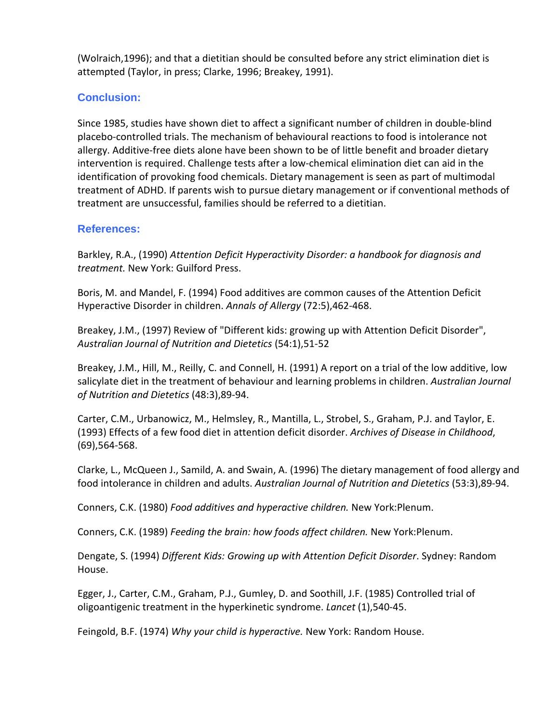(Wolraich,1996); and that a dietitian should be consulted before any strict elimination diet is attempted (Taylor, in press; Clarke, 1996; Breakey, 1991).

# **Conclusion:**

Since 1985, studies have shown diet to affect a significant number of children in double-blind placebo-controlled trials. The mechanism of behavioural reactions to food is intolerance not allergy. Additive-free diets alone have been shown to be of little benefit and broader dietary intervention is required. Challenge tests after a low-chemical elimination diet can aid in the identification of provoking food chemicals. Dietary management is seen as part of multimodal treatment of ADHD. If parents wish to pursue dietary management or if conventional methods of treatment are unsuccessful, families should be referred to a dietitian.

#### **References:**

Barkley, R.A., (1990) *Attention Deficit Hyperactivity Disorder: a handbook for diagnosis and treatment.* New York: Guilford Press.

Boris, M. and Mandel, F. (1994) Food additives are common causes of the Attention Deficit Hyperactive Disorder in children. *Annals of Allergy* (72:5),462-468.

Breakey, J.M., (1997) Review of "Different kids: growing up with Attention Deficit Disorder", *Australian Journal of Nutrition and Dietetics* (54:1),51-52

Breakey, J.M., Hill, M., Reilly, C. and Connell, H. (1991) A report on a trial of the low additive, low salicylate diet in the treatment of behaviour and learning problems in children. *Australian Journal of Nutrition and Dietetics* (48:3),89-94.

Carter, C.M., Urbanowicz, M., Helmsley, R., Mantilla, L., Strobel, S., Graham, P.J. and Taylor, E. (1993) Effects of a few food diet in attention deficit disorder. *Archives of Disease in Childhood*, (69),564-568.

Clarke, L., McQueen J., Samild, A. and Swain, A. (1996) The dietary management of food allergy and food intolerance in children and adults. *Australian Journal of Nutrition and Dietetics* (53:3),89-94.

Conners, C.K. (1980) *Food additives and hyperactive children.* New York:Plenum.

Conners, C.K. (1989) *Feeding the brain: how foods affect children.* New York:Plenum.

Dengate, S. (1994) *Different Kids: Growing up with Attention Deficit Disorder*. Sydney: Random House.

Egger, J., Carter, C.M., Graham, P.J., Gumley, D. and Soothill, J.F. (1985) Controlled trial of oligoantigenic treatment in the hyperkinetic syndrome. *Lancet* (1),540-45.

Feingold, B.F. (1974) *Why your child is hyperactive.* New York: Random House.